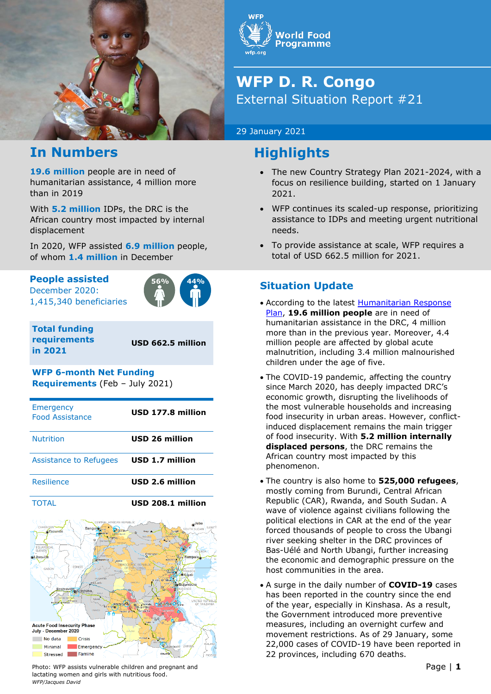

## **In Numbers**

**19.6 million** people are in need of humanitarian assistance, 4 million more than in 2019

With **5.2 million** IDPs, the DRC is the African country most impacted by internal displacement

In 2020, WFP assisted **6.9 million** people, of whom **1.4 million** in December

### **People assisted**

December 2020: 1,415,340 beneficiaries



**Total funding requirements in 2021**

**USD 662.5 million**

## **WFP 6-month Net Funding**

**Requirements** (Feb – July 2021)

| <b>Emergency</b><br><b>Food Assistance</b>                                                                                                                                                                                                                                                                                                                                                                                                                                                                                                                                                       | USD 177.8 million     |
|--------------------------------------------------------------------------------------------------------------------------------------------------------------------------------------------------------------------------------------------------------------------------------------------------------------------------------------------------------------------------------------------------------------------------------------------------------------------------------------------------------------------------------------------------------------------------------------------------|-----------------------|
| <b>Nutrition</b>                                                                                                                                                                                                                                                                                                                                                                                                                                                                                                                                                                                 | <b>USD 26 million</b> |
| Assistance to Refugees                                                                                                                                                                                                                                                                                                                                                                                                                                                                                                                                                                           | USD 1.7 million       |
| Resilience                                                                                                                                                                                                                                                                                                                                                                                                                                                                                                                                                                                       | USD 2.6 million       |
| <b>TOTAL</b>                                                                                                                                                                                                                                                                                                                                                                                                                                                                                                                                                                                     | USD 208.1 million     |
| CENTRAL AFRICAN REPUBLIC<br>Juba<br>CAMEROON<br>TLEMT <sup>-1</sup><br>Bangul<br>SOUTH SUDAN<br>xaounde<br>Gledoli<br>Duringan<br>Ango 4<br>Lizenze<br>emene<br><b>UD UTS NO</b><br>mone<br><b>EQUATORIAL</b><br><b>Dun E</b><br><b>GUINEA</b><br><b>UGANDAY</b><br>Kisangan<br>Libreville<br><b>Kampala</b><br>TRHOPS<br>KE<br>sùtem<br>ali Ibandaka<br>Joance<br><b>DEMOCR</b><br><b>INC REPUBLI</b><br>CONGO<br>OF THE CONGO<br><b>GABON</b><br><b>ANDA</b><br>TRH, MD4<br><b><i>S</i></b> Kigali<br>мандректее<br>Band andu<br>navadire)<br>Bujumbura<br>RURUNDI<br>Brazzaville <sup>®</sup> |                       |

**Acute Food Insecurity Phase** July - December 2020 No data **Crisis** Minimal Emergenc Stressed Famine Photo: WFP assists vulnerable children and pregnant and **Page in the set of the set of the Page | 1** Page | 1

lactating women and girls with nutritious food.

*WFP/Jacques David* 

**Norld Food Programme** 

# **WFP D. R. Congo**  External Situation Report #21

### 29 January 2021

# **Highlights**

- The new Country Strategy Plan 2021-2024, with a focus on resilience building, started on 1 January 2021.
- WFP continues its scaled-up response, prioritizing assistance to IDPs and meeting urgent nutritional needs.
- To provide assistance at scale, WFP requires a total of USD 662.5 million for 2021.

### **Situation Update**

- According to the latest [Humanitarian Response](https://reliefweb.int/sites/reliefweb.int/files/resources/hrp_2021-vf_28_janvier_web_ok-links.pdf)  [Plan,](https://reliefweb.int/sites/reliefweb.int/files/resources/hrp_2021-vf_28_janvier_web_ok-links.pdf) **19.6 million people** are in need of humanitarian assistance in the DRC, 4 million more than in the previous year. Moreover, 4.4 million people are affected by global acute malnutrition, including 3.4 million malnourished children under the age of five.
- The COVID-19 pandemic, affecting the country since March 2020, has deeply impacted DRC's economic growth, disrupting the livelihoods of the most vulnerable households and increasing food insecurity in urban areas. However, conflictinduced displacement remains the main trigger of food insecurity. With **5.2 million internally displaced persons**, the DRC remains the African country most impacted by this phenomenon.
- The country is also home to **525,000 refugees**, mostly coming from Burundi, Central African Republic (CAR), Rwanda, and South Sudan. A wave of violence against civilians following the political elections in CAR at the end of the year forced thousands of people to cross the Ubangi river seeking shelter in the DRC provinces of Bas-Uélé and North Ubangi, further increasing the economic and demographic pressure on the host communities in the area.
- A surge in the daily number of **COVID-19** cases has been reported in the country since the end of the year, especially in Kinshasa. As a result, the Government introduced more preventive measures, including an overnight curfew and movement restrictions. As of 29 January, some 22,000 cases of COVID-19 have been reported in 22 provinces, including 670 deaths.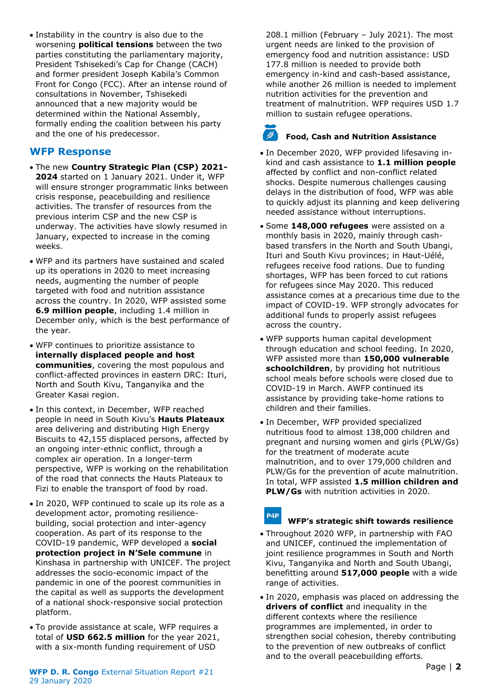• Instability in the country is also due to the worsening **political tensions** between the two parties constituting the parliamentary majority, President Tshisekedi's Cap for Change (CACH) and former president Joseph Kabila's Common Front for Congo (FCC). After an intense round of consultations in November, Tshisekedi announced that a new majority would be determined within the National Assembly, formally ending the coalition between his party and the one of his predecessor.

### **WFP Response**

- The new **Country Strategic Plan (CSP) 2021- 2024** started on 1 January 2021. Under it, WFP will ensure stronger programmatic links between crisis response, peacebuilding and resilience activities. The transfer of resources from the previous interim CSP and the new CSP is underway. The activities have slowly resumed in January, expected to increase in the coming weeks.
- WFP and its partners have sustained and scaled up its operations in 2020 to meet increasing needs, augmenting the number of people targeted with food and nutrition assistance across the country. In 2020, WFP assisted some **6.9 million people**, including 1.4 million in December only, which is the best performance of the year.
- WFP continues to prioritize assistance to **internally displaced people and host communities**, covering the most populous and conflict-affected provinces in eastern DRC: Ituri, North and South Kivu, Tanganyika and the Greater Kasai region.
- In this context, in December, WFP reached people in need in South Kivu's **Hauts Plateaux** area delivering and distributing High Energy Biscuits to 42,155 displaced persons, affected by an ongoing inter-ethnic conflict, through a complex air operation. In a longer-term perspective, WFP is working on the rehabilitation of the road that connects the Hauts Plateaux to Fizi to enable the transport of food by road.
- In 2020, WFP continued to scale up its role as a development actor, promoting resiliencebuilding, social protection and inter-agency cooperation. As part of its response to the COVID-19 pandemic, WFP developed a **social protection project in N'Sele commune** in Kinshasa in partnership with UNICEF. The project addresses the socio-economic impact of the pandemic in one of the poorest communities in the capital as well as supports the development of a national shock-responsive social protection platform.
- To provide assistance at scale, WFP requires a total of **USD 662.5 million** for the year 2021, with a six-month funding requirement of USD

208.1 million (February – July 2021). The most urgent needs are linked to the provision of emergency food and nutrition assistance: USD 177.8 million is needed to provide both emergency in-kind and cash-based assistance, while another 26 million is needed to implement nutrition activities for the prevention and treatment of malnutrition. WFP requires USD 1.7 million to sustain refugee operations.

#### المحلم **Food, Cash and Nutrition Assistance**

- In December 2020, WFP provided lifesaving inkind and cash assistance to **1.1 million people** affected by conflict and non-conflict related shocks. Despite numerous challenges causing delays in the distribution of food, WFP was able to quickly adjust its planning and keep delivering needed assistance without interruptions.
- Some **148,000 refugees** were assisted on a monthly basis in 2020, mainly through cashbased transfers in the North and South Ubangi, Ituri and South Kivu provinces; in Haut-Uélé, refugees receive food rations. Due to funding shortages, WFP has been forced to cut rations for refugees since May 2020. This reduced assistance comes at a precarious time due to the impact of COVID-19. WFP strongly advocates for additional funds to properly assist refugees across the country.
- WFP supports human capital development through education and school feeding. In 2020, WFP assisted more than **150,000 vulnerable schoolchildren**, by providing hot nutritious school meals before schools were closed due to COVID-19 in March. AWFP continued its assistance by providing take-home rations to children and their families.
- In December, WFP provided specialized nutritious food to almost 138,000 children and pregnant and nursing women and girls (PLW/Gs) for the treatment of moderate acute malnutrition, and to over 179,000 children and PLW/Gs for the prevention of acute malnutrition. In total, WFP assisted **1.5 million children and PLW/Gs** with nutrition activities in 2020.

#### P4P **WFP's strategic shift towards resilience**

- Throughout 2020 WFP, in partnership with FAO and UNICEF, continued the implementation of joint resilience programmes in South and North Kivu, Tanganyika and North and South Ubangi, benefitting around **517,000 people** with a wide range of activities.
- In 2020, emphasis was placed on addressing the **drivers of conflict** and inequality in the different contexts where the resilience programmes are implemented, in order to strengthen social cohesion, thereby contributing to the prevention of new outbreaks of conflict and to the overall peacebuilding efforts.